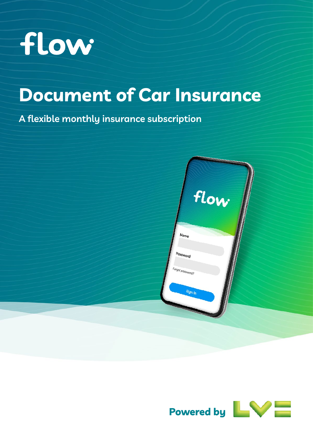

# **Document of Car Insurance**

**A flexible monthly insurance subscription**



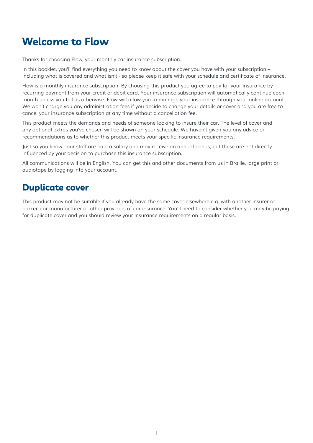# <span id="page-1-0"></span>**Welcome to Flow**

Thanks for choosing Flow, your monthly car insurance subscription.

In this booklet, you'll find everything you need to know about the cover you have with your subscription – including what is covered and what isn't - so please keep it safe with your schedule and certificate of insurance.

Flow is a monthly insurance subscription. By choosing this product you agree to pay for your insurance by recurring payment from your credit or debit card. Your insurance subscription will automatically continue each month unless you tell us otherwise. Flow will allow you to manage your insurance through your online account. We won't charge you any administration fees if you decide to change your details or cover and you are free to cancel your insurance subscription at any time without a cancellation fee.

This product meets the demands and needs of someone looking to insure their car. The level of cover and any optional extras you've chosen will be shown on your schedule. We haven't given you any advice or recommendations as to whether this product meets your specific insurance requirements.

Just so you know - our staff are paid a salary and may receive an annual bonus, but these are not directly influenced by your decision to purchase this insurance subscription.

All communications will be in English. You can get this and other documents from us in Braille, large print or audiotape by logging into your account.

# **Duplicate cover**

This product may not be suitable if you already have the same cover elsewhere e.g. with another insurer or broker, car manufacturer or other providers of car insurance. You'll need to consider whether you may be paying for duplicate cover and you should review your insurance requirements on a regular basis.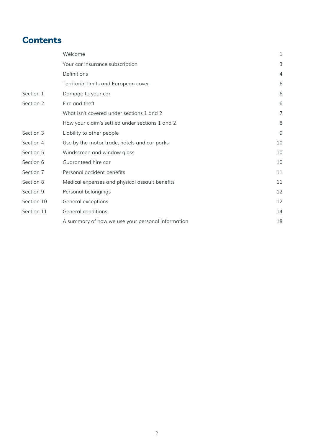# <span id="page-2-0"></span>**Contents**

|            | Welcome                                           | 1  |
|------------|---------------------------------------------------|----|
|            | Your car insurance subscription                   | 3  |
|            | Definitions                                       | 4  |
|            | Territorial limits and European cover             | 6  |
| Section 1  | Damage to your car                                | 6  |
| Section 2  | Fire and theft                                    | 6  |
|            | What isn't covered under sections 1 and 2         | 7  |
|            | How your claim's settled under sections 1 and 2   | 8  |
| Section 3  | Liability to other people                         | 9  |
| Section 4  | Use by the motor trade, hotels and car parks      | 10 |
| Section 5  | Windscreen and window glass                       | 10 |
| Section 6  | Guaranteed hire car                               | 10 |
| Section 7  | Personal accident benefits                        | 11 |
| Section 8  | Medical expenses and physical assault benefits    | 11 |
| Section 9  | Personal belongings                               | 12 |
| Section 10 | General exceptions                                | 12 |
| Section 11 | General conditions                                | 14 |
|            | A summary of how we use your personal information | 18 |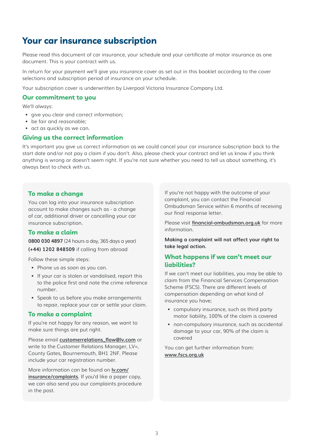# <span id="page-3-0"></span>**Your car insurance subscription**

Please read this document of car insurance, your schedule and your certificate of motor insurance as one document. This is your contract with us.

In return for your payment we'll give you insurance cover as set out in this booklet according to the cover selections and subscription period of insurance on your schedule.

Your subscription cover is underwritten by Liverpool Victoria Insurance Company Ltd.

#### **Our commitment to you**

We'll always:

- give you clear and correct information;
- be fair and reasonable;
- act as quickly as we can.

#### **Giving us the correct information**

It's important you give us correct information as we could cancel your car insurance subscription back to the start date and/or not pay a claim if you don't. Also, please check your contract and let us know if you think anything is wrong or doesn't seem right. If you're not sure whether you need to tell us about something, it's always best to check with us.

#### **To make a change**

You can log into your insurance subscription account to make changes such as - a change of car, additional driver or cancelling your car insurance subscription.

#### **To make a claim**

**0800 030 4897** (24 hours a day, 365 days a year) **(+44) 1202 848509** if calling from abroad

Follow these simple steps:

- Phone us as soon as you can.
- If your car is stolen or vandalised, report this to the police first and note the crime reference number.
- Speak to us before you make arrangements to repair, replace your car or settle your claim.

#### **To make a complaint**

If you're not happy for any reason, we want to make sure things are put right.

Please email **[customerrelations\\_flow@lv.com](mailto:customerrelations_flow%40lv.com?subject=)** or write to the Customer Relations Manager, LV=, County Gates, Bournemouth, BH1 2NF. Please include your car registration number.

More information can be found on **[lv.com/](http://lv.com/insurance/complaints) [insurance/complaints](http://lv.com/insurance/complaints)**. If you'd like a paper copy, we can also send you our complaints procedure in the post.

If you're not happy with the outcome of your complaint, you can contact the Financial Ombudsman Service within 6 months of receiving our final response letter.

Please visit **[financial-ombudsman.org.uk](http://financial-ombudsman.org.uk)** for more information.

**Making a complaint will not affect your right to take legal action.** 

#### **What happens if we can't meet our liabilities?**

If we can't meet our liabilities, you may be able to claim from the Financial Services Compensation Scheme (FSCS). There are different levels of compensation depending on what kind of insurance you have;

- compulsory insurance, such as third party motor liability, 100% of the claim is covered
- non-compulsory insurance, such as accidental damage to your car, 90% of the claim is covered

You can get further information from: **[www.fscs.org.uk](http://www.fscs.org.uk)**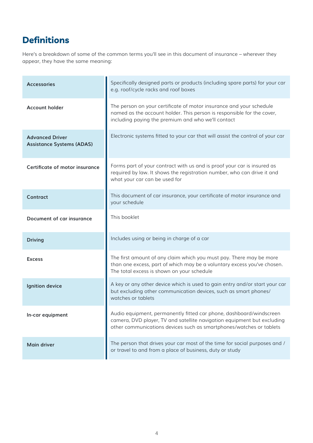# <span id="page-4-0"></span>**Definitions**

Here's a breakdown of some of the common terms you'll see in this document of insurance – wherever they appear, they have the same meaning:

| <b>Accessories</b>                                         | Specifically designed parts or products (including spare parts) for your car<br>e.g. roof/cycle racks and roof boxes                                                                                                  |
|------------------------------------------------------------|-----------------------------------------------------------------------------------------------------------------------------------------------------------------------------------------------------------------------|
| <b>Account holder</b>                                      | The person on your certificate of motor insurance and your schedule<br>named as the account holder. This person is responsible for the cover,<br>including paying the premium and who we'll contact                   |
| <b>Advanced Driver</b><br><b>Assistance Systems (ADAS)</b> | Electronic systems fitted to your car that will assist the control of your car                                                                                                                                        |
| Certificate of motor insurance                             | Forms part of your contract with us and is proof your car is insured as<br>required by law. It shows the registration number, who can drive it and<br>what your car can be used for                                   |
| Contract                                                   | This document of car insurance, your certificate of motor insurance and<br>your schedule                                                                                                                              |
| Document of car insurance                                  | This booklet                                                                                                                                                                                                          |
| <b>Driving</b>                                             | Includes using or being in charge of a car                                                                                                                                                                            |
| <b>Excess</b>                                              | The first amount of any claim which you must pay. There may be more<br>than one excess, part of which may be a voluntary excess you've chosen.<br>The total excess is shown on your schedule                          |
| Ignition device                                            | A key or any other device which is used to gain entry and/or start your car<br>but excluding other communication devices, such as smart phones/<br>watches or tablets                                                 |
| In-car equipment                                           | Audio equipment, permanently fitted car phone, dashboard/windscreen<br>camera, DVD player, TV and satellite navigation equipment but excluding<br>other communications devices such as smartphones/watches or tablets |
| <b>Main driver</b>                                         | The person that drives your car most of the time for social purposes and /<br>or travel to and from a place of business, duty or study                                                                                |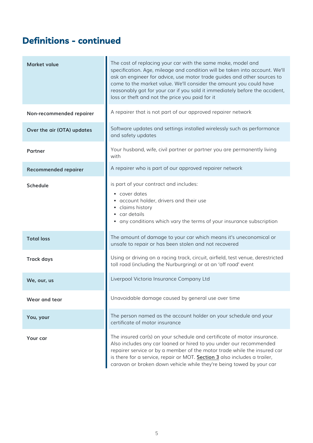# **Definitions - continued**

| <b>Market value</b>         | The cost of replacing your car with the same make, model and<br>specification. Age, mileage and condition will be taken into account. We'll<br>ask an engineer for advice, use motor trade guides and other sources to<br>come to the market value. We'll consider the amount you could have<br>reasonably got for your car if you sold it immediately before the accident,<br>loss or theft and not the price you paid for it |
|-----------------------------|--------------------------------------------------------------------------------------------------------------------------------------------------------------------------------------------------------------------------------------------------------------------------------------------------------------------------------------------------------------------------------------------------------------------------------|
| Non-recommended repairer    | A repairer that is not part of our approved repairer network                                                                                                                                                                                                                                                                                                                                                                   |
| Over the air (OTA) updates  | Software updates and settings installed wirelessly such as performance<br>and safety updates                                                                                                                                                                                                                                                                                                                                   |
| <b>Partner</b>              | Your husband, wife, civil partner or partner you are permanently living<br>with                                                                                                                                                                                                                                                                                                                                                |
| <b>Recommended repairer</b> | A repairer who is part of our approved repairer network                                                                                                                                                                                                                                                                                                                                                                        |
| <b>Schedule</b>             | is part of your contract and includes:<br>• cover dates<br>• account holder, drivers and their use<br>• claims history<br>• car details<br>• any conditions which vary the terms of your insurance subscription                                                                                                                                                                                                                |
| <b>Total loss</b>           | The amount of damage to your car which means it's uneconomical or<br>unsafe to repair or has been stolen and not recovered                                                                                                                                                                                                                                                                                                     |
| <b>Track days</b>           | Using or driving on a racing track, circuit, airfield, test venue, derestricted<br>toll road (including the Nurburgring) or at an 'off road' event                                                                                                                                                                                                                                                                             |
| We, our, us                 | Liverpool Victoria Insurance Company Ltd                                                                                                                                                                                                                                                                                                                                                                                       |
| Wear and tear               | Unavoidable damage caused by general use over time                                                                                                                                                                                                                                                                                                                                                                             |
| You, your                   | The person named as the account holder on your schedule and your<br>certificate of motor insurance                                                                                                                                                                                                                                                                                                                             |
| Your car                    | The insured car(s) on your schedule and certificate of motor insurance.<br>Also includes any car loaned or hired to you under our recommended<br>repairer service or by a member of the motor trade while the insured car<br>is there for a service, repair or MOT. Section 3 also includes a trailer,<br>caravan or broken down vehicle while they're being towed by your car                                                 |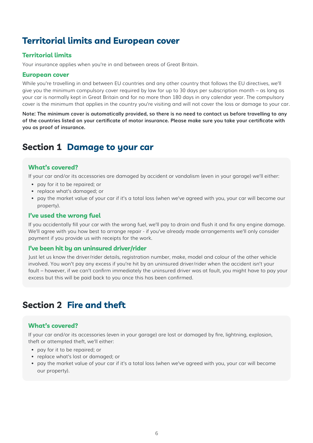# <span id="page-6-0"></span>**Territorial limits and European cover**

# **Territorial limits**

Your insurance applies when you're in and between areas of Great Britain.

### **European cover**

While you're travelling in and between EU countries and any other country that follows the EU directives, we'll give you the minimum compulsory cover required by law for up to 30 days per subscription month – as long as your car is normally kept in Great Britain and for no more than 180 days in any calendar year. The compulsory cover is the minimum that applies in the country you're visiting and will not cover the loss or damage to your car.

**Note: The minimum cover is automatically provided, so there is no need to contact us before travelling to any of the countries listed on your certificate of motor insurance. Please make sure you take your certificate with you as proof of insurance.**

# <span id="page-6-1"></span>**Section 1 Damage to your car**

### **What's covered?**

If your car and/or its accessories are damaged by accident or vandalism (even in your garage) we'll either:

- pay for it to be repaired; or
- replace what's damaged; or
- pay the market value of your car if it's a total loss (when we've agreed with you, your car will become our property).

### **I've used the wrong fuel**

If you accidentally fill your car with the wrong fuel, we'll pay to drain and flush it and fix any engine damage. We'll agree with you how best to arrange repair - if you've already made arrangements we'll only consider payment if you provide us with receipts for the work.

### **I've been hit by an uninsured driver/rider**

Just let us know the driver/rider details, registration number, make, model and colour of the other vehicle involved. You won't pay any excess if you're hit by an uninsured driver/rider when the accident isn't your fault – however, if we can't confirm immediately the uninsured driver was at fault, you might have to pay your excess but this will be paid back to you once this has been confirmed.

# <span id="page-6-2"></span>**Section 2 Fire and theft**

# **What's covered?**

If your car and/or its accessories (even in your garage) are lost or damaged by fire, lightning, explosion, theft or attempted theft, we'll either:

- pay for it to be repaired; or
- replace what's lost or damaged; or
- pay the market value of your car if it's a total loss (when we've agreed with you, your car will become our property).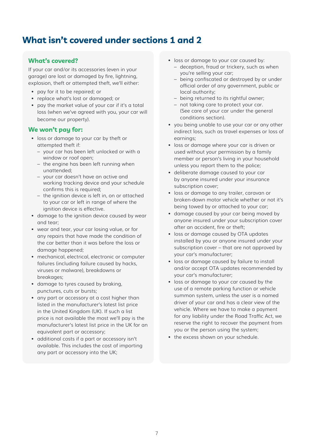# <span id="page-7-0"></span>**What isn't covered under sections 1 and 2**

# **What's covered?**

If your car and/or its accessories (even in your garage) are lost or damaged by fire, lightning, explosion, theft or attempted theft, we'll either:

- pay for it to be repaired; or
- replace what's lost or damaged; or
- pay the market value of your car if it's a total loss (when we've agreed with you, your car will become our property).

### **We won't pay for:**

- loss or damage to your car by theft or attempted theft if:
	- your car has been left unlocked or with a window or roof open;
	- the engine has been left running when unattended;
	- your car doesn't have an active and working tracking device and your schedule confirms this is required;
	- the ignition device is left in, on or attached to your car or left in range of where the ignition device is effective.
- damage to the ignition device caused by wear and tear;
- wear and tear, your car losing value, or for any repairs that have made the condition of the car better than it was before the loss or damage happened;
- mechanical, electrical, electronic or computer failures (including failure caused by hacks, viruses or malware), breakdowns or breakages;
- damage to tyres caused by braking, punctures, cuts or bursts;
- any part or accessory at a cost higher than listed in the manufacturer's latest list price in the United Kingdom (UK). If such a list price is not available the most we'll pay is the manufacturer's latest list price in the UK for an equivalent part or accessory;
- additional costs if a part or accessory isn't available. This includes the cost of importing any part or accessory into the UK;
- loss or damage to your car caused by:
	- deception, fraud or trickery, such as when you're selling your car;
	- being confiscated or destroyed by or under official order of any government, public or local authority;
	- being returned to its rightful owner;
	- not taking care to protect your car. (See care of your car under the general conditions section).
- you being unable to use your car or any other indirect loss, such as travel expenses or loss of earnings;
- loss or damage where your car is driven or used without your permission by a family member or person's living in your household unless you report them to the police;
- deliberate damage caused to your car by anyone insured under your insurance subscription cover;
- loss or damage to any trailer, caravan or broken-down motor vehicle whether or not it's being towed by or attached to your car;
- damage caused by your car being moved by anyone insured under your subscription cover after an accident, fire or theft;
- loss or damage caused by OTA updates installed by you or anyone insured under your subscription cover – that are not approved by your car's manufacturer;
- loss or damage caused by failure to install and/or accept OTA updates recommended by your car's manufacturer;
- loss or damage to your car caused by the use of a remote parking function or vehicle summon system, unless the user is a named driver of your car and has a clear view of the vehicle. Where we have to make a payment for any liability under the Road Traffic Act, we reserve the right to recover the payment from you or the person using the system;
- the excess shown on your schedule.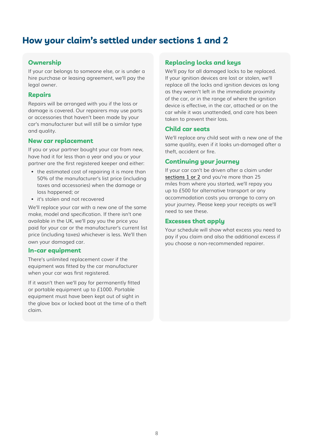# <span id="page-8-0"></span>**How your claim's settled under sections 1 and 2**

### **Ownership**

If your car belongs to someone else, or is under a hire purchase or leasing agreement, we'll pay the legal owner.

#### **Repairs**

Repairs will be arranged with you if the loss or damage is covered. Our repairers may use parts or accessories that haven't been made by your car's manufacturer but will still be a similar type and quality.

### **New car replacement**

If you or your partner bought your car from new, have had it for less than a year and you or your partner are the first registered keeper and either:

- the estimated cost of repairing it is more than 50% of the manufacturer's list price (including taxes and accessories) when the damage or loss happened; or
- it's stolen and not recovered

We'll replace your car with a new one of the same make, model and specification. If there isn't one available in the UK, we'll pay you the price you paid for your car or the manufacturer's current list price (including taxes) whichever is less. We'll then own your damaged car.

#### **In-car equipment**

There's unlimited replacement cover if the equipment was fitted by the car manufacturer when your car was first registered.

If it wasn't then we'll pay for permanently fitted or portable equipment up to £1000. Portable equipment must have been kept out of sight in the glove box or locked boot at the time of a theft claim.

#### **Replacing locks and keys**

We'll pay for all damaged locks to be replaced. If your ignition devices are lost or stolen, we'll replace all the locks and ignition devices as long as they weren't left in the immediate proximity of the car, or in the range of where the ignition device is effective, in the car, attached or on the car while it was unattended, and care has been taken to prevent their loss.

### **Child car seats**

We'll replace any child seat with a new one of the same quality, even if it looks un-damaged after a theft, accident or fire.

### **Continuing your journey**

If your car can't be driven after a claim under **[sections 1](#page-6-1) [or 2](#page-6-2)** and you're more than 25 miles from where you started, we'll repay you up to £500 for alternative transport or any accommodation costs you arrange to carry on your journey. Please keep your receipts as we'll need to see these.

#### **Excesses that apply**

Your schedule will show what excess you need to pay if you claim and also the additional excess if you choose a non-recommended repairer.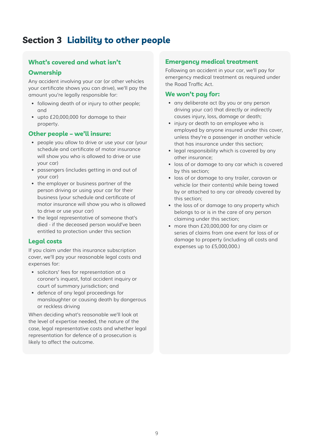# <span id="page-9-1"></span><span id="page-9-0"></span>**Section 3 Liability to other people**

# **What's covered and what isn't**

### **Ownership**

Any accident involving your car (or other vehicles your certificate shows you can drive), we'll pay the amount you're legally responsible for:

- following death of or injury to other people; and
- upto £20,000,000 for damage to their property.

#### **Other people – we'll insure:**

- people you allow to drive or use your car (your schedule and certificate of motor insurance will show you who is allowed to drive or use your car)
- passengers (includes getting in and out of your car)
- the employer or business partner of the person driving or using your car for their business (your schedule and certificate of motor insurance will show you who is allowed to drive or use your car)
- the legal representative of someone that's died - if the deceased person would've been entitled to protection under this section

### **Legal costs**

If you claim under this insurance subscription cover, we'll pay your reasonable legal costs and expenses for:

- solicitors' fees for representation at a coroner's inquest, fatal accident inquiry or court of summary jurisdiction; and
- defence of any legal proceedings for manslaughter or causing death by dangerous or reckless driving

When deciding what's reasonable we'll look at the level of expertise needed, the nature of the case, legal representative costs and whether legal representation for defence of a prosecution is likely to affect the outcome.

#### **Emergency medical treatment**

Following an accident in your car, we'll pay for emergency medical treatment as required under the Road Traffic Act.

#### **We won't pay for:**

- any deliberate act (by you or any person driving your car) that directly or indirectly causes injury, loss, damage or death;
- injury or death to an employee who is employed by anyone insured under this cover, unless they're a passenger in another vehicle that has insurance under this section;
- legal responsibility which is covered by any other insurance;
- loss of or damage to any car which is covered by this section;
- loss of or damage to any trailer, caravan or vehicle (or their contents) while being towed by or attached to any car already covered by this section;
- the loss of or damage to any property which belongs to or is in the care of any person claiming under this section;
- more than £20,000,000 for any claim or series of claims from one event for loss of or damage to property (including all costs and expenses up to £5,000,000.)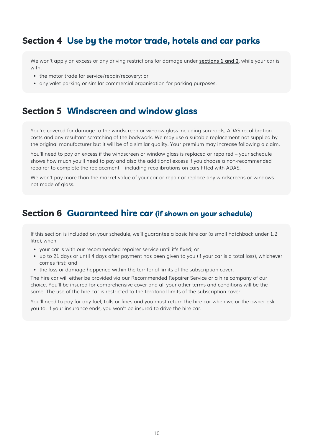# <span id="page-10-0"></span>**Section 4 Use by the motor trade, hotels and car parks**

We won't apply an excess or any driving restrictions for damage under **[sections 1](#page-6-1) [and 2](#page-6-2)**, while your car is with:

- the motor trade for service/repair/recovery; or
- any valet parking or similar commercial organisation for parking purposes.

# **Section 5 Windscreen and window glass**

You're covered for damage to the windscreen or window glass including sun-roofs, ADAS recalibration costs and any resultant scratching of the bodywork. We may use a suitable replacement not supplied by the original manufacturer but it will be of a similar quality. Your premium may increase following a claim.

You'll need to pay an excess if the windscreen or window glass is replaced or repaired – your schedule shows how much you'll need to pay and also the additional excess if you choose a non-recommended repairer to complete the replacement – including recalibrations on cars fitted with ADAS.

We won't pay more than the market value of your car or repair or replace any windscreens or windows not made of glass.

# **Section 6 Guaranteed hire car (if shown on your schedule)**

If this section is included on your schedule, we'll guarantee a basic hire car (a small hatchback under 1.2 litre), when:

- your car is with our recommended repairer service until it's fixed; or
- up to 21 days or until 4 days after payment has been given to you (if your car is a total loss), whichever comes first; and
- the loss or damage happened within the territorial limits of the subscription cover.

The hire car will either be provided via our Recommended Repairer Service or a hire company of our choice. You'll be insured for comprehensive cover and all your other terms and conditions will be the same. The use of the hire car is restricted to the territorial limits of the subscription cover.

You'll need to pay for any fuel, tolls or fines and you must return the hire car when we or the owner ask you to. If your insurance ends, you won't be insured to drive the hire car.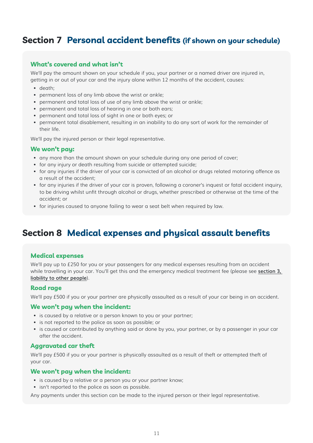# <span id="page-11-1"></span><span id="page-11-0"></span>**Section 7 Personal accident benefits (if shown on your schedule)**

### **What's covered and what isn't**

We'll pay the amount shown on your schedule if you, your partner or a named driver are injured in, getting in or out of your car and the injury alone within 12 months of the accident, causes:

- death;
- permanent loss of any limb above the wrist or ankle;
- permanent and total loss of use of any limb above the wrist or ankle;
- permanent and total loss of hearing in one or both ears;
- permanent and total loss of sight in one or both eyes; or
- permanent total disablement, resulting in an inability to do any sort of work for the remainder of their life.

We'll pay the injured person or their legal representative.

#### **We won't pay:**

- any more than the amount shown on your schedule during any one period of cover;
- for any injury or death resulting from suicide or attempted suicide;
- for any injuries if the driver of your car is convicted of an alcohol or drugs related motoring offence as a result of the accident;
- for any injuries if the driver of your car is proven, following a coroner's inquest or fatal accident inquiry, to be driving whilst unfit through alcohol or drugs, whether prescribed or otherwise at the time of the accident; or
- for injuries caused to anyone failing to wear a seat belt when required by law.

# **Section 8 Medical expenses and physical assault benefits**

#### **Medical expenses**

We'll pay up to £250 for you or your passengers for any medical expenses resulting from an accident while travelling in your car. You'll get this and the emergency medical treatment fee (please see **[section 3,](#page-9-1)  [liability to other people](#page-9-1)**).

#### **Road rage**

We'll pay £500 if you or your partner are physically assaulted as a result of your car being in an accident.

#### **We won't pay when the incident:**

- is caused by a relative or a person known to you or your partner;
- is not reported to the police as soon as possible; or
- is caused or contributed by anything said or done by you, your partner, or by a passenger in your car after the accident.

#### **Aggravated car theft**

We'll pay £500 if you or your partner is physically assaulted as a result of theft or attempted theft of your car.

#### **We won't pay when the incident:**

- is caused by a relative or a person you or your partner know;
- isn't reported to the police as soon as possible.

Any payments under this section can be made to the injured person or their legal representative.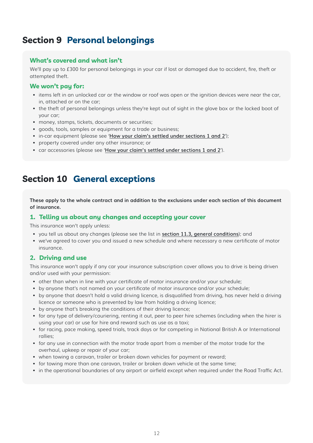# <span id="page-12-0"></span>**Section 9 Personal belongings**

### **What's covered and what isn't**

We'll pay up to £300 for personal belongings in your car if lost or damaged due to accident, fire, theft or attempted theft.

### **We won't pay for:**

- items left in an unlocked car or the window or roof was open or the ignition devices were near the car, in, attached or on the car;
- the theft of personal belongings unless they're kept out of sight in the glove box or the locked boot of your car;
- money, stamps, tickets, documents or securities;
- goods, tools, samples or equipment for a trade or business;
- in-car equipment (please see '**How your claim's settled under sections 1 and 2**');
- property covered under any other insurance; or
- car accessories (please see '**How your claim's settled under sections 1 and 2**').

# **Section 10 General exceptions**

**These apply to the whole contract and in addition to the exclusions under each section of this document of insurance.** 

#### **1. Telling us about any changes and accepting your cover**

This insurance won't apply unless:

- you tell us about any changes (please see the list in **[section 11.3, general conditions](#page-14-1)**); and
- we've agreed to cover you and issued a new schedule and where necessary a new certificate of motor insurance.

# **2. Driving and use**

This insurance won't apply if any car your insurance subscription cover allows you to drive is being driven and/or used with your permission:

- other than when in line with your certificate of motor insurance and/or your schedule;
- by anyone that's not named on your certificate of motor insurance and/or your schedule;
- by anyone that doesn't hold a valid driving licence, is disqualified from driving, has never held a driving licence or someone who is prevented by law from holding a driving licence;
- by anyone that's breaking the conditions of their driving licence;
- for any type of delivery/couriering, renting it out, peer to peer hire schemes (including when the hirer is using your car) or use for hire and reward such as use as a taxi;
- for racing, pace making, speed trials, track days or for competing in National British A or International rallies;
- for any use in connection with the motor trade apart from a member of the motor trade for the overhaul, upkeep or repair of your car;
- when towing a caravan, trailer or broken down vehicles for payment or reward;
- for towing more than one caravan, trailer or broken down vehicle at the same time;
- in the operational boundaries of any airport or airfield except when required under the Road Traffic Act.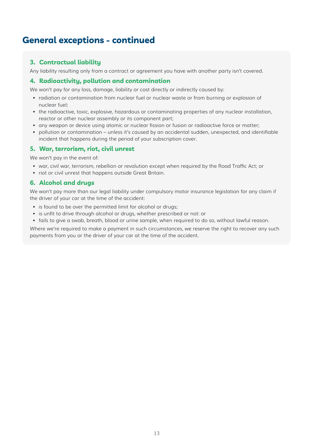# **General exceptions - continued**

# **3. Contractual liability**

Any liability resulting only from a contract or agreement you have with another party isn't covered.

### **4. Radioactivity, pollution and contamination**

We won't pay for any loss, damage, liability or cost directly or indirectly caused by:

- radiation or contamination from nuclear fuel or nuclear waste or from burning or explosion of nuclear fuel;
- the radioactive, toxic, explosive, hazardous or contaminating properties of any nuclear installation, reactor or other nuclear assembly or its component part;
- any weapon or device using atomic or nuclear fission or fusion or radioactive force or matter;
- pollution or contamination unless it's caused by an accidental sudden, unexpected, and identifiable incident that happens during the period of your subscription cover.

# **5. War, terrorism, riot, civil unrest**

We won't pay in the event of:

- war, civil war, terrorism, rebellion or revolution except when required by the Road Traffic Act; or
- riot or civil unrest that happens outside Great Britain.

### **6. Alcohol and drugs**

We won't pay more than our legal liability under compulsory motor insurance legislation for any claim if the driver of your car at the time of the accident:

- is found to be over the permitted limit for alcohol or drugs;
- is unfit to drive through alcohol or drugs, whether prescribed or not: or
- fails to give a swab, breath, blood or urine sample, when required to do so, without lawful reason.

Where we're required to make a payment in such circumstances, we reserve the right to recover any such payments from you or the driver of your car at the time of the accident.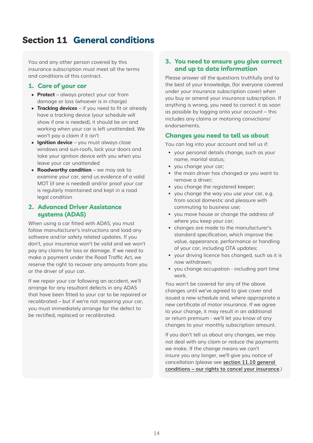# <span id="page-14-0"></span>**Section 11 General conditions**

You and any other person covered by this insurance subscription must meet all the terms and conditions of this contract.

### **1. Care of your car**

- **• Protect**  always protect your car from damage or loss (whoever is in charge)
- **• Tracking devices** if you need to fit or already have a tracking device (your schedule will show if one is needed), it should be on and working when your car is left unattended. We won't pay a claim if it isn't
- **• Ignition device** you must always close windows and sun-roofs, lock your doors and take your ignition device with you when you leave your car unattended
- **• Roadworthy condition** we may ask to examine your car, send us evidence of a valid MOT (if one is needed) and/or proof your car is regularly maintained and kept in a road legal condition

### **2. Advanced Driver Assistance systems (ADAS)**

When using a car fitted with ADAS, you must follow manufacturer's instructions and load any software and/or safety related updates. If you don't, your insurance won't be valid and we won't pay any claims for loss or damage. If we need to make a payment under the Road Traffic Act, we reserve the right to recover any amounts from you or the driver of your car.

If we repair your car following an accident, we'll arrange for any resultant defects in any ADAS that have been fitted to your car to be repaired or recalibrated – but if we're not repairing your car, you must immediately arrange for the defect to be rectified, replaced or recalibrated.

### <span id="page-14-1"></span>**3. You need to ensure you give correct and up to date information**

Please answer all the questions truthfully and to the best of your knowledge, (for everyone covered under your insurance subscription cover) when you buy or amend your insurance subscription. If anything is wrong, you need to correct it as soon as possible by logging onto your account – this includes any claims or motoring convictions/ endorsements.

# **Changes you need to tell us about**

You can log into your account and tell us if:

- your personal details change, such as your name, marital status;
- you change your car;
- the main driver has changed or you want to remove a driver;
- you change the registered keeper;
- you change the way you use your car, e.g. from social domestic and pleasure with commuting to business use;
- you move house or change the address of where you keep your car;
- changes are made to the manufacturer's standard specification, which improve the value, appearance, performance or handling of your car, including OTA updates;
- your driving licence has changed, such as it is now withdrawn;
- you change occupation including part time work.

You won't be covered for any of the above changes until we've agreed to give cover and issued a new schedule and, where appropriate a new certificate of motor insurance. If we agree to your change, it may result in an additional or return premium - we'll let you know of any changes to your monthly subscription amount.

If you don't tell us about any changes, we may not deal with any claim or reduce the payments we make. If the change means we can't insure you any longer, we'll give you notice of cancellation (please see **[section 11.10 general](#page-16-0)  [conditions – our rights to cancel your insurance](#page-16-0)**.)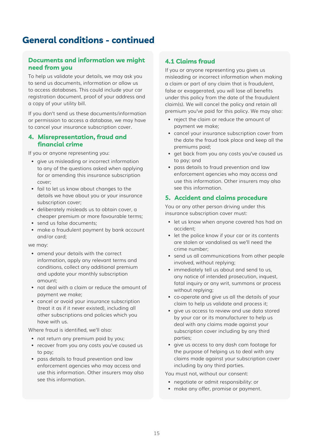# <span id="page-15-0"></span>**General conditions - continued**

# **Documents and information we might need from you**

To help us validate your details, we may ask you to send us documents, information or allow us to access databases. This could include your car registration document, proof of your address and a copy of your utility bill.

If you don't send us these documents/information or permission to access a database, we may have to cancel your insurance subscription cover.

### <span id="page-15-1"></span>**4. Misrepresentation, fraud and financial crime**

If you or anyone representing you:

- give us misleading or incorrect information to any of the questions asked when applying for or amending this insurance subscription cover;
- fail to let us know about changes to the details we have about you or your insurance subscription cover;
- deliberately misleads us to obtain cover, a cheaper premium or more favourable terms;
- send us false documents;
- make a fraudulent payment by bank account and/or card;

we may:

- amend your details with the correct information, apply any relevant terms and conditions, collect any additional premium and update your monthly subscription amount;
- not deal with a claim or reduce the amount of payment we make;
- cancel or avoid your insurance subscription (treat it as if it never existed), including all other subscriptions and policies which you have with us.

Where fraud is identified, we'll also:

- not return any premium paid by you;
- recover from you any costs you've caused us to pay;
- pass details to fraud prevention and law enforcement agencies who may access and use this information. Other insurers may also see this information.

# **4.1 Claims fraud**

If you or anyone representing you gives us misleading or incorrect information when making a claim or part of any claim that is fraudulent, false or exaggerated, you will lose all benefits under this policy from the date of the fraudulent claim(s). We will cancel the policy and retain all premium you've paid for this policy. We may also:

- reject the claim or reduce the amount of payment we make;
- cancel your insurance subscription cover from the date the fraud took place and keep all the premiums paid;
- get back from you any costs you've caused us to pay; and
- pass details to fraud prevention and law enforcement agencies who may access and use this information. Other insurers may also see this information.

### **5. Accident and claims procedure**

You or any other person driving under this insurance subscription cover must:

- let us know when anyone covered has had an accident;
- let the police know if your car or its contents are stolen or vandalised as we'll need the crime number;
- send us all communications from other people involved, without replying;
- immediately tell us about and send to us, any notice of intended prosecution, inquest, fatal inquiry or any writ, summons or process without replying;
- co-operate and give us all the details of your claim to help us validate and process it;
- give us access to review and use data stored by your car or its manufacturer to help us deal with any claims made against your subscription cover including by any third parties;
- give us access to any dash cam footage for the purpose of helping us to deal with any claims made against your subscription cover including by any third parties.

You must not, without our consent:

- negotiate or admit responsibility: or
- make any offer, promise or payment.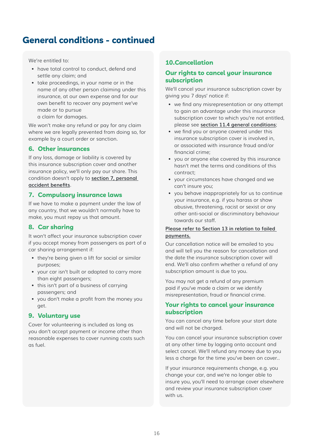# **General conditions - continued**

We're entitled to:

- have total control to conduct, defend and settle any claim; and
- take proceedings, in your name or in the name of any other person claiming under this insurance, at our own expense and for our own benefit to recover any payment we've made or to pursue a claim for damages.

We won't make any refund or pay for any claim where we are legally prevented from doing so, for example by a court order or sanction.

# **6. Other insurances**

If any loss, damage or liability is covered by this insurance subscription cover and another insurance policy, we'll only pay our share. This condition doesn't apply to **[section 7, personal](#page-11-1)  [accident benefits](#page-11-1)**.

### **7. Compulsory insurance laws**

If we have to make a payment under the law of any country, that we wouldn't normally have to make, you must repay us that amount.

# **8. Car sharing**

It won't affect your insurance subscription cover if you accept money from passengers as part of a car sharing arrangement if:

- they're being given a lift for social or similar purposes;
- your car isn't built or adapted to carry more than eight passengers;
- this isn't part of a business of carrying passengers; and
- you don't make a profit from the money you get.

### **9. Voluntary use**

Cover for volunteering is included as long as you don't accept payment or income other than reasonable expenses to cover running costs such as fuel.

### <span id="page-16-1"></span>**10.Cancellation**

### <span id="page-16-0"></span>**Our rights to cancel your insurance subscription**

We'll cancel your insurance subscription cover by giving you 7 days' notice if:

- we find any misrepresentation or any attempt to gain an advantage under this insurance subscription cover to which you're not entitled, please see **[section](#page-15-0) [11.4 general conditions](#page-15-1)**;
- we find you or anyone covered under this insurance subscription cover is involved in, or associated with insurance fraud and/or financial crime;
- you or anyone else covered by this insurance hasn't met the terms and conditions of this contract;
- your circumstances have changed and we can't insure you;
- you behave inappropriately for us to continue your insurance, e.g. if you harass or show abusive, threatening, racist or sexist or any other anti-social or discriminatory behaviour towards our staff.

#### **[Please refer to Section 13 in relation to failed](#page-17-0)  [payments.](#page-17-0)**

Our cancellation notice will be emailed to you and will tell you the reason for cancellation and the date the insurance subscription cover will end. We'll also confirm whether a refund of any subscription amount is due to you.

You may not get a refund of any premium paid if you've made a claim or we identify misrepresentation, fraud or financial crime.

### **Your rights to cancel your insurance subscription**

You can cancel any time before your start date and will not be charged.

You can cancel your insurance subscription cover at any other time by logging onto account and select cancel. We'll refund any money due to you less a charge for the time you've been on cover..

If your insurance requirements change, e.g. you change your car, and we're no longer able to insure you, you'll need to arrange cover elsewhere and review your insurance subscription cover with us.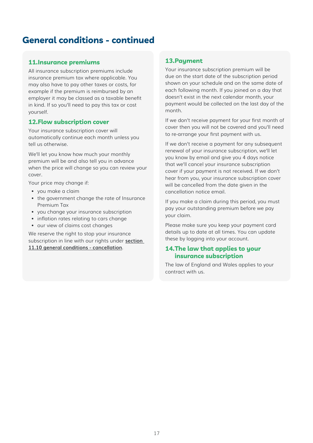# **General conditions - continued**

#### **11.Insurance premiums**

All insurance subscription premiums include insurance premium tax where applicable. You may also have to pay other taxes or costs, for example if the premium is reimbursed by an employer it may be classed as a taxable benefit in kind. If so you'll need to pay this tax or cost yourself.

#### **12.Flow subscription cover**

Your insurance subscription cover will automatically continue each month unless you tell us otherwise.

We'll let you know how much your monthly premium will be and also tell you in advance when the price will change so you can review your cover.

Your price may change if:

- you make a claim
- the government change the rate of Insurance Premium Tax
- you change your insurance subscription
- inflation rates relating to cars change
- our view of claims cost changes

We reserve the right to stop your insurance subscription in line with our rights under **[section](#page-16-1)  [11.10 general conditions - cancellation](#page-16-1)**.

#### <span id="page-17-0"></span>**13.Payment**

Your insurance subscription premium will be due on the start date of the subscription period shown on your schedule and on the same date of each following month. If you joined on a day that doesn't exist in the next calendar month, your payment would be collected on the last day of the month.

If we don't receive payment for your first month of cover then you will not be covered and you'll need to re-arrange your first payment with us.

If we don't receive a payment for any subsequent renewal of your insurance subscription, we'll let you know by email and give you 4 days notice that we'll cancel your insurance subscription cover if your payment is not received. If we don't hear from you, your insurance subscription cover will be cancelled from the date given in the cancellation notice email.

If you make a claim during this period, you must pay your outstanding premium before we pay your claim.

Please make sure you keep your payment card details up to date at all times. You can update these by logging into your account.

### **14.The law that applies to your insurance subscription**

The law of England and Wales applies to your contract with us.